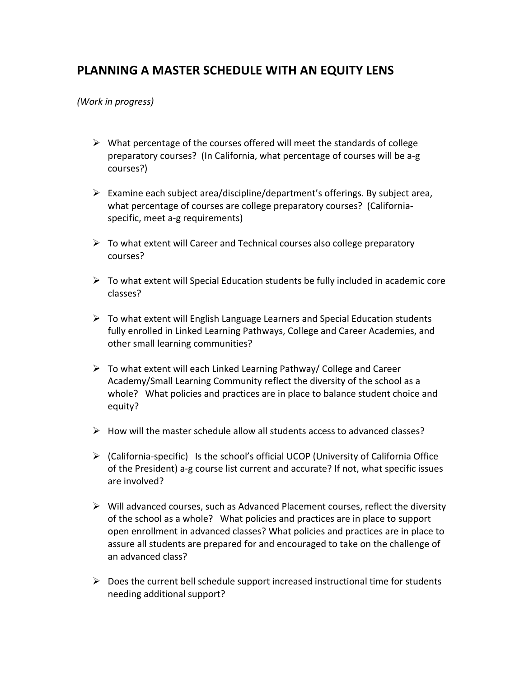## PLANNING A MASTER SCHEDULE WITH AN EQUITY LENS

*(Work&in&progress)&*

- $\triangleright$  What percentage of the courses offered will meet the standards of college preparatory courses? (In California, what percentage of courses will be a-g courses?)
- Examine each subject area/discipline/department's offerings. By subject area, what percentage of courses are college preparatory courses? (Californiaspecific, meet a-g requirements)
- $\triangleright$  To what extent will Career and Technical courses also college preparatory courses?!
- $\triangleright$  To what extent will Special Education students be fully included in academic core classes?
- $\triangleright$  To what extent will English Language Learners and Special Education students fully enrolled in Linked Learning Pathways, College and Career Academies, and other small learning communities?
- $\triangleright$  To what extent will each Linked Learning Pathway/ College and Career Academy/Small Learning Community reflect the diversity of the school as a whole? What policies and practices are in place to balance student choice and equity?
- $\triangleright$  How will the master schedule allow all students access to advanced classes?
- $\triangleright$  (California-specific) Is the school's official UCOP (University of California Office of the President) a-g course list current and accurate? If not, what specific issues are involved?
- $\triangleright$  Will advanced courses, such as Advanced Placement courses, reflect the diversity of the school as a whole? What policies and practices are in place to support open enrollment in advanced classes? What policies and practices are in place to assure all students are prepared for and encouraged to take on the challenge of an advanced class?
- $\triangleright$  Does the current bell schedule support increased instructional time for students needing additional support?